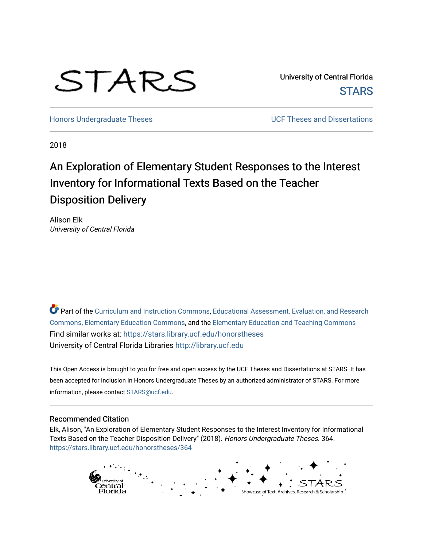# STARS

University of Central Florida **STARS** 

[Honors Undergraduate Theses](https://stars.library.ucf.edu/honorstheses) **No. 2018** UCF Theses and Dissertations

2018

## An Exploration of Elementary Student Responses to the Interest Inventory for Informational Texts Based on the Teacher Disposition Delivery

Alison Elk University of Central Florida

Part of the [Curriculum and Instruction Commons,](http://network.bepress.com/hgg/discipline/786?utm_source=stars.library.ucf.edu%2Fhonorstheses%2F364&utm_medium=PDF&utm_campaign=PDFCoverPages) Educational Assessment, Evaluation, and Research [Commons](http://network.bepress.com/hgg/discipline/796?utm_source=stars.library.ucf.edu%2Fhonorstheses%2F364&utm_medium=PDF&utm_campaign=PDFCoverPages), [Elementary Education Commons,](http://network.bepress.com/hgg/discipline/1378?utm_source=stars.library.ucf.edu%2Fhonorstheses%2F364&utm_medium=PDF&utm_campaign=PDFCoverPages) and the [Elementary Education and Teaching Commons](http://network.bepress.com/hgg/discipline/805?utm_source=stars.library.ucf.edu%2Fhonorstheses%2F364&utm_medium=PDF&utm_campaign=PDFCoverPages) Find similar works at: <https://stars.library.ucf.edu/honorstheses> University of Central Florida Libraries [http://library.ucf.edu](http://library.ucf.edu/) 

This Open Access is brought to you for free and open access by the UCF Theses and Dissertations at STARS. It has been accepted for inclusion in Honors Undergraduate Theses by an authorized administrator of STARS. For more information, please contact [STARS@ucf.edu.](mailto:STARS@ucf.edu)

#### Recommended Citation

Elk, Alison, "An Exploration of Elementary Student Responses to the Interest Inventory for Informational Texts Based on the Teacher Disposition Delivery" (2018). Honors Undergraduate Theses. 364. [https://stars.library.ucf.edu/honorstheses/364](https://stars.library.ucf.edu/honorstheses/364?utm_source=stars.library.ucf.edu%2Fhonorstheses%2F364&utm_medium=PDF&utm_campaign=PDFCoverPages) 

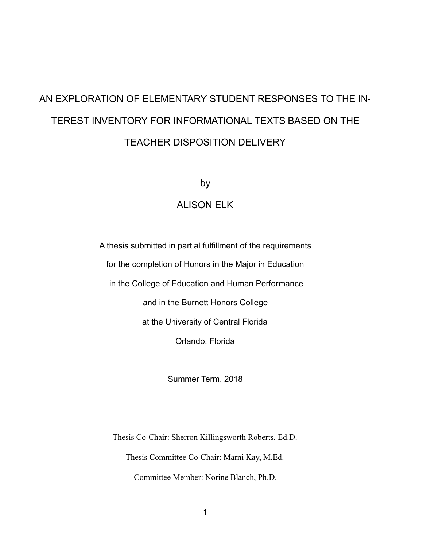## AN EXPLORATION OF ELEMENTARY STUDENT RESPONSES TO THE IN-TEREST INVENTORY FOR INFORMATIONAL TEXTS BASED ON THE TEACHER DISPOSITION DELIVERY

by

#### ALISON ELK

A thesis submitted in partial fulfillment of the requirements for the completion of Honors in the Major in Education in the College of Education and Human Performance and in the Burnett Honors College at the University of Central Florida Orlando, Florida

Summer Term, 2018

Thesis Co-Chair: Sherron Killingsworth Roberts, Ed.D. Thesis Committee Co-Chair: Marni Kay, M.Ed. Committee Member: Norine Blanch, Ph.D.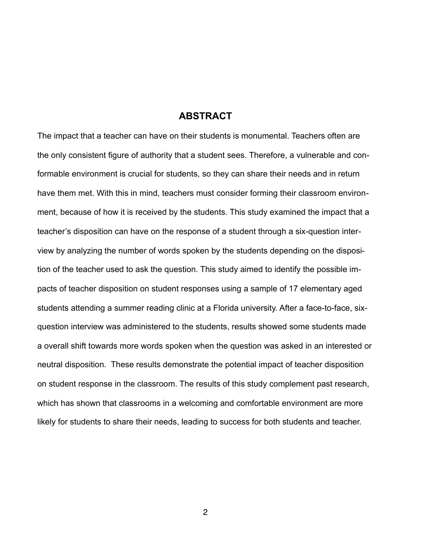#### **ABSTRACT**

The impact that a teacher can have on their students is monumental. Teachers often are the only consistent figure of authority that a student sees. Therefore, a vulnerable and conformable environment is crucial for students, so they can share their needs and in return have them met. With this in mind, teachers must consider forming their classroom environment, because of how it is received by the students. This study examined the impact that a teacher's disposition can have on the response of a student through a six-question interview by analyzing the number of words spoken by the students depending on the disposition of the teacher used to ask the question. This study aimed to identify the possible impacts of teacher disposition on student responses using a sample of 17 elementary aged students attending a summer reading clinic at a Florida university. After a face-to-face, sixquestion interview was administered to the students, results showed some students made a overall shift towards more words spoken when the question was asked in an interested or neutral disposition. These results demonstrate the potential impact of teacher disposition on student response in the classroom. The results of this study complement past research, which has shown that classrooms in a welcoming and comfortable environment are more likely for students to share their needs, leading to success for both students and teacher.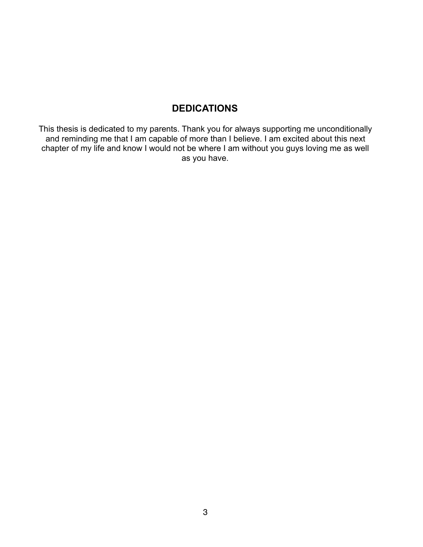## **DEDICATIONS**

This thesis is dedicated to my parents. Thank you for always supporting me unconditionally and reminding me that I am capable of more than I believe. I am excited about this next chapter of my life and know I would not be where I am without you guys loving me as well as you have.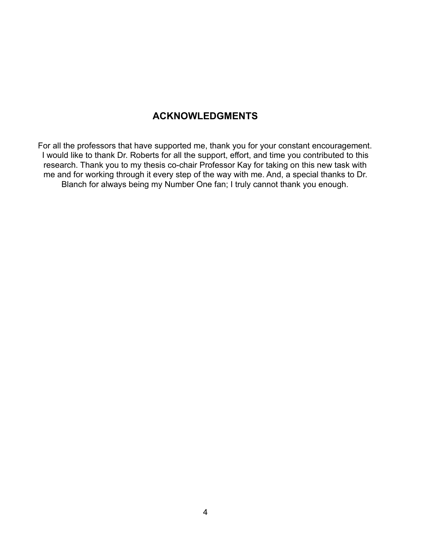### **ACKNOWLEDGMENTS**

For all the professors that have supported me, thank you for your constant encouragement. I would like to thank Dr. Roberts for all the support, effort, and time you contributed to this research. Thank you to my thesis co-chair Professor Kay for taking on this new task with me and for working through it every step of the way with me. And, a special thanks to Dr. Blanch for always being my Number One fan; I truly cannot thank you enough.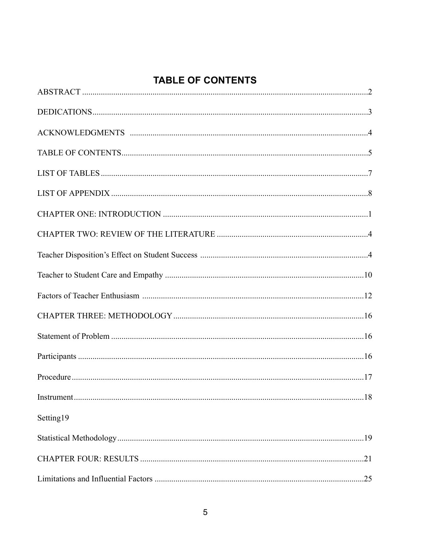## **TABLE OF CONTENTS**

| Setting19 |  |
|-----------|--|
|           |  |
|           |  |
|           |  |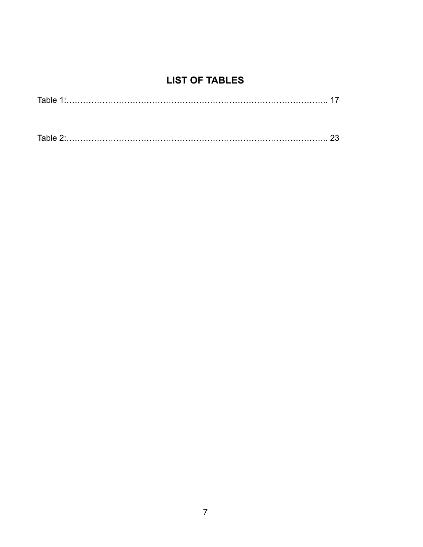## **LIST OF TABLES**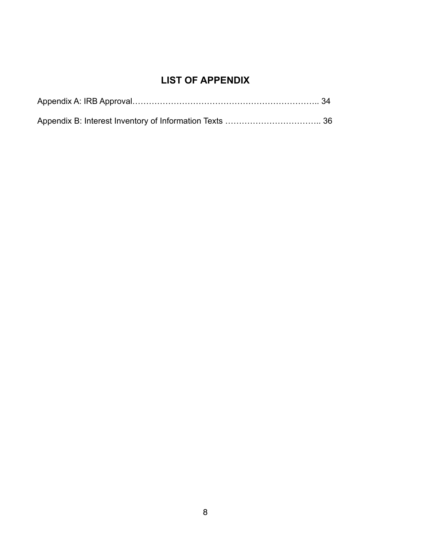## **LIST OF APPENDIX**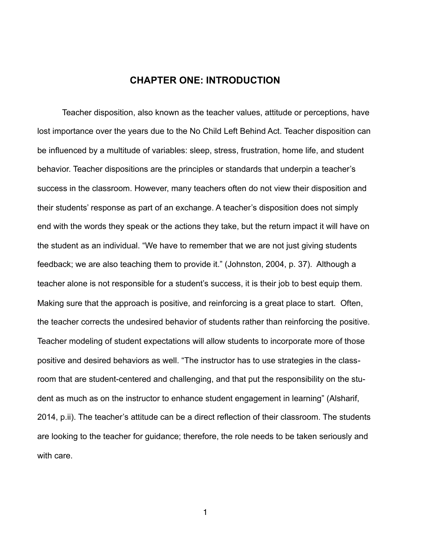#### **CHAPTER ONE: INTRODUCTION**

 Teacher disposition, also known as the teacher values, attitude or perceptions, have lost importance over the years due to the No Child Left Behind Act. Teacher disposition can be influenced by a multitude of variables: sleep, stress, frustration, home life, and student behavior. Teacher dispositions are the principles or standards that underpin a teacher's success in the classroom. However, many teachers often do not view their disposition and their students' response as part of an exchange. A teacher's disposition does not simply end with the words they speak or the actions they take, but the return impact it will have on the student as an individual. "We have to remember that we are not just giving students feedback; we are also teaching them to provide it." (Johnston, 2004, p. 37). Although a teacher alone is not responsible for a student's success, it is their job to best equip them. Making sure that the approach is positive, and reinforcing is a great place to start. Often, the teacher corrects the undesired behavior of students rather than reinforcing the positive. Teacher modeling of student expectations will allow students to incorporate more of those positive and desired behaviors as well. "The instructor has to use strategies in the classroom that are student-centered and challenging, and that put the responsibility on the student as much as on the instructor to enhance student engagement in learning" ([Alsharif,](https://www.ncbi.nlm.nih.gov/pubmed/?term=Alsharif%252525252525252525252520NZ%25252525252525252525255BAuthor%25252525252525252525255D&cauthor=true&cauthor_uid=25258437) 2014, p.ii). The teacher's attitude can be a direct reflection of their classroom. The students are looking to the teacher for guidance; therefore, the role needs to be taken seriously and with care.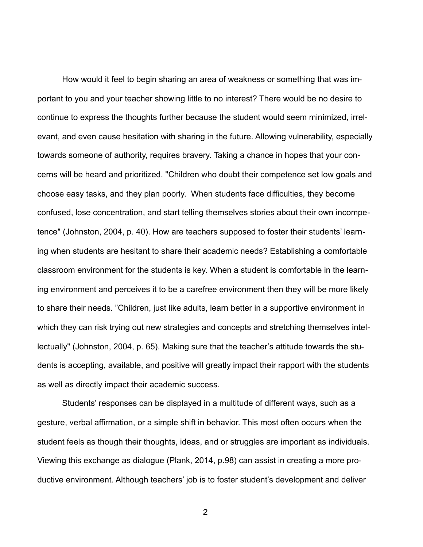How would it feel to begin sharing an area of weakness or something that was important to you and your teacher showing little to no interest? There would be no desire to continue to express the thoughts further because the student would seem minimized, irrelevant, and even cause hesitation with sharing in the future. Allowing vulnerability, especially towards someone of authority, requires bravery. Taking a chance in hopes that your concerns will be heard and prioritized. "Children who doubt their competence set low goals and choose easy tasks, and they plan poorly. When students face difficulties, they become confused, lose concentration, and start telling themselves stories about their own incompetence" (Johnston, 2004, p. 40). How are teachers supposed to foster their students' learning when students are hesitant to share their academic needs? Establishing a comfortable classroom environment for the students is key. When a student is comfortable in the learning environment and perceives it to be a carefree environment then they will be more likely to share their needs. "Children, just like adults, learn better in a supportive environment in which they can risk trying out new strategies and concepts and stretching themselves intellectually" (Johnston, 2004, p. 65). Making sure that the teacher's attitude towards the students is accepting, available, and positive will greatly impact their rapport with the students as well as directly impact their academic success.

 Students' responses can be displayed in a multitude of different ways, such as a gesture, verbal affirmation, or a simple shift in behavior. This most often occurs when the student feels as though their thoughts, ideas, and or struggles are important as individuals. Viewing this exchange as dialogue (Plank, 2014, p.98) can assist in creating a more productive environment. Although teachers' job is to foster student's development and deliver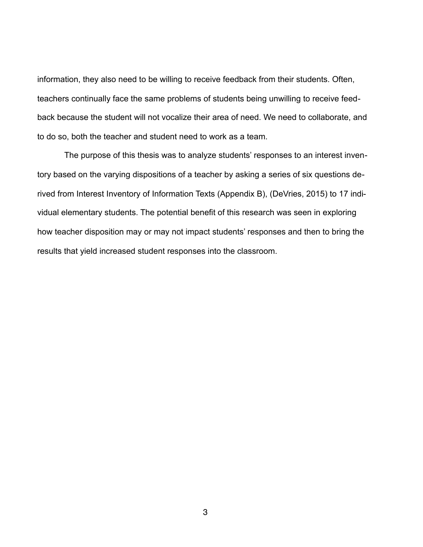information, they also need to be willing to receive feedback from their students. Often, teachers continually face the same problems of students being unwilling to receive feedback because the student will not vocalize their area of need. We need to collaborate, and to do so, both the teacher and student need to work as a team.

 The purpose of this thesis was to analyze students' responses to an interest inventory based on the varying dispositions of a teacher by asking a series of six questions derived from Interest Inventory of Information Texts (Appendix B), (DeVries, 2015) to 17 individual elementary students. The potential benefit of this research was seen in exploring how teacher disposition may or may not impact students' responses and then to bring the results that yield increased student responses into the classroom.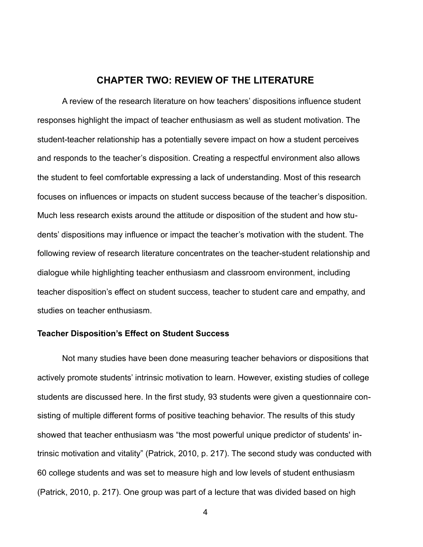#### **CHAPTER TWO: REVIEW OF THE LITERATURE**

 A review of the research literature on how teachers' dispositions influence student responses highlight the impact of teacher enthusiasm as well as student motivation. The student-teacher relationship has a potentially severe impact on how a student perceives and responds to the teacher's disposition. Creating a respectful environment also allows the student to feel comfortable expressing a lack of understanding. Most of this research focuses on influences or impacts on student success because of the teacher's disposition. Much less research exists around the attitude or disposition of the student and how students' dispositions may influence or impact the teacher's motivation with the student. The following review of research literature concentrates on the teacher-student relationship and dialogue while highlighting teacher enthusiasm and classroom environment, including teacher disposition's effect on student success, teacher to student care and empathy, and studies on teacher enthusiasm.

#### **Teacher Disposition's Effect on Student Success**

 Not many studies have been done measuring teacher behaviors or dispositions that actively promote students' intrinsic motivation to learn. However, existing studies of college students are discussed here. In the first study, 93 students were given a questionnaire consisting of multiple different forms of positive teaching behavior. The results of this study showed that teacher enthusiasm was "the most powerful unique predictor of students' intrinsic motivation and vitality" (Patrick, 2010, p. 217). The second study was conducted with 60 college students and was set to measure high and low levels of student enthusiasm (Patrick, 2010, p. 217). One group was part of a lecture that was divided based on high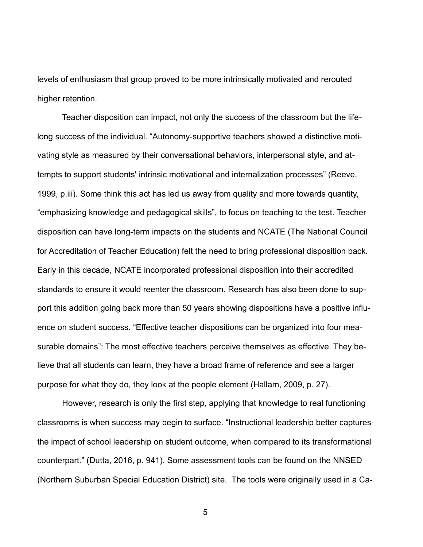levels of enthusiasm that group proved to be more intrinsically motivated and rerouted higher retention.

 Teacher disposition can impact, not only the success of the classroom but the lifelong success of the individual. "Autonomy-supportive teachers showed a distinctive motivating style as measured by their conversational behaviors, interpersonal style, and attempts to support students' intrinsic motivational and internalization processes" (Reeve, 1999, p.iii). Some think this act has led us away from quality and more towards quantity, "emphasizing knowledge and pedagogical skills", to focus on teaching to the test. Teacher disposition can have long-term impacts on the students and NCATE (The National Council for Accreditation of Teacher Education) felt the need to bring professional disposition back. Early in this decade, NCATE incorporated professional disposition into their accredited standards to ensure it would reenter the classroom. Research has also been done to support this addition going back more than 50 years showing dispositions have a positive influence on student success. "Effective teacher dispositions can be organized into four measurable domains": The most effective teachers perceive themselves as effective. They believe that all students can learn, they have a broad frame of reference and see a larger purpose for what they do, they look at the people element (Hallam, 2009, p. 27).

 However, research is only the first step, applying that knowledge to real functioning classrooms is when success may begin to surface. "Instructional leadership better captures the impact of school leadership on student outcome, when compared to its transformational counterpart." (Dutta, 2016, p. 941). Some assessment tools can be found on the NNSED (Northern Suburban Special Education District) site. The tools were originally used in a Ca-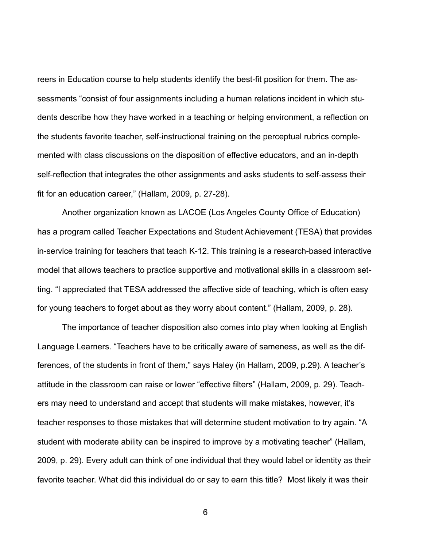reers in Education course to help students identify the best-fit position for them. The assessments "consist of four assignments including a human relations incident in which students describe how they have worked in a teaching or helping environment, a reflection on the students favorite teacher, self-instructional training on the perceptual rubrics complemented with class discussions on the disposition of effective educators, and an in-depth self-reflection that integrates the other assignments and asks students to self-assess their fit for an education career," (Hallam, 2009, p. 27-28).

 Another organization known as LACOE (Los Angeles County Office of Education) has a program called Teacher Expectations and Student Achievement (TESA) that provides in-service training for teachers that teach K-12. This training is a research-based interactive model that allows teachers to practice supportive and motivational skills in a classroom setting. "I appreciated that TESA addressed the affective side of teaching, which is often easy for young teachers to forget about as they worry about content." (Hallam, 2009, p. 28).

 The importance of teacher disposition also comes into play when looking at English Language Learners. "Teachers have to be critically aware of sameness, as well as the differences, of the students in front of them," says Haley (in Hallam, 2009, p.29). A teacher's attitude in the classroom can raise or lower "effective filters" (Hallam, 2009, p. 29). Teachers may need to understand and accept that students will make mistakes, however, it's teacher responses to those mistakes that will determine student motivation to try again. "A student with moderate ability can be inspired to improve by a motivating teacher" (Hallam, 2009, p. 29). Every adult can think of one individual that they would label or identity as their favorite teacher. What did this individual do or say to earn this title? Most likely it was their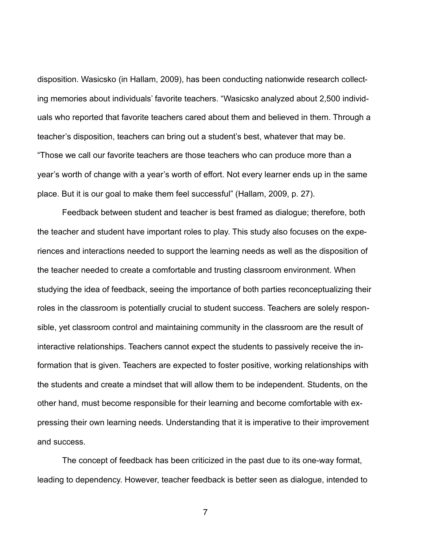disposition. Wasicsko (in Hallam, 2009), has been conducting nationwide research collecting memories about individuals' favorite teachers. "Wasicsko analyzed about 2,500 individuals who reported that favorite teachers cared about them and believed in them. Through a teacher's disposition, teachers can bring out a student's best, whatever that may be. "Those we call our favorite teachers are those teachers who can produce more than a year's worth of change with a year's worth of effort. Not every learner ends up in the same place. But it is our goal to make them feel successful" (Hallam, 2009, p. 27).

 Feedback between student and teacher is best framed as dialogue; therefore, both the teacher and student have important roles to play. This study also focuses on the experiences and interactions needed to support the learning needs as well as the disposition of the teacher needed to create a comfortable and trusting classroom environment. When studying the idea of feedback, seeing the importance of both parties reconceptualizing their roles in the classroom is potentially crucial to student success. Teachers are solely responsible, yet classroom control and maintaining community in the classroom are the result of interactive relationships. Teachers cannot expect the students to passively receive the information that is given. Teachers are expected to foster positive, working relationships with the students and create a mindset that will allow them to be independent. Students, on the other hand, must become responsible for their learning and become comfortable with expressing their own learning needs. Understanding that it is imperative to their improvement and success.

 The concept of feedback has been criticized in the past due to its one-way format, leading to dependency. However, teacher feedback is better seen as dialogue, intended to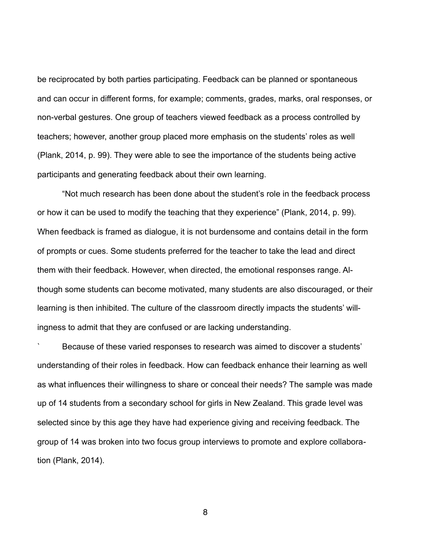be reciprocated by both parties participating. Feedback can be planned or spontaneous and can occur in different forms, for example; comments, grades, marks, oral responses, or non-verbal gestures. One group of teachers viewed feedback as a process controlled by teachers; however, another group placed more emphasis on the students' roles as well (Plank, 2014, p. 99). They were able to see the importance of the students being active participants and generating feedback about their own learning.

 "Not much research has been done about the student's role in the feedback process or how it can be used to modify the teaching that they experience" (Plank, 2014, p. 99). When feedback is framed as dialogue, it is not burdensome and contains detail in the form of prompts or cues. Some students preferred for the teacher to take the lead and direct them with their feedback. However, when directed, the emotional responses range. Although some students can become motivated, many students are also discouraged, or their learning is then inhibited. The culture of the classroom directly impacts the students' willingness to admit that they are confused or are lacking understanding.

` Because of these varied responses to research was aimed to discover a students' understanding of their roles in feedback. How can feedback enhance their learning as well as what influences their willingness to share or conceal their needs? The sample was made up of 14 students from a secondary school for girls in New Zealand. This grade level was selected since by this age they have had experience giving and receiving feedback. The group of 14 was broken into two focus group interviews to promote and explore collaboration (Plank, 2014).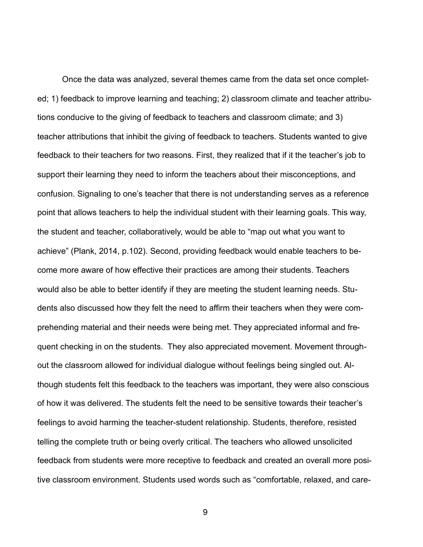Once the data was analyzed, several themes came from the data set once completed; 1) feedback to improve learning and teaching; 2) classroom climate and teacher attributions conducive to the giving of feedback to teachers and classroom climate; and 3) teacher attributions that inhibit the giving of feedback to teachers. Students wanted to give feedback to their teachers for two reasons. First, they realized that if it the teacher's job to support their learning they need to inform the teachers about their misconceptions, and confusion. Signaling to one's teacher that there is not understanding serves as a reference point that allows teachers to help the individual student with their learning goals. This way, the student and teacher, collaboratively, would be able to "map out what you want to achieve" (Plank, 2014, p.102). Second, providing feedback would enable teachers to become more aware of how effective their practices are among their students. Teachers would also be able to better identify if they are meeting the student learning needs. Students also discussed how they felt the need to affirm their teachers when they were comprehending material and their needs were being met. They appreciated informal and frequent checking in on the students. They also appreciated movement. Movement throughout the classroom allowed for individual dialogue without feelings being singled out. Although students felt this feedback to the teachers was important, they were also conscious of how it was delivered. The students felt the need to be sensitive towards their teacher's feelings to avoid harming the teacher-student relationship. Students, therefore, resisted telling the complete truth or being overly critical. The teachers who allowed unsolicited feedback from students were more receptive to feedback and created an overall more positive classroom environment. Students used words such as "comfortable, relaxed, and care-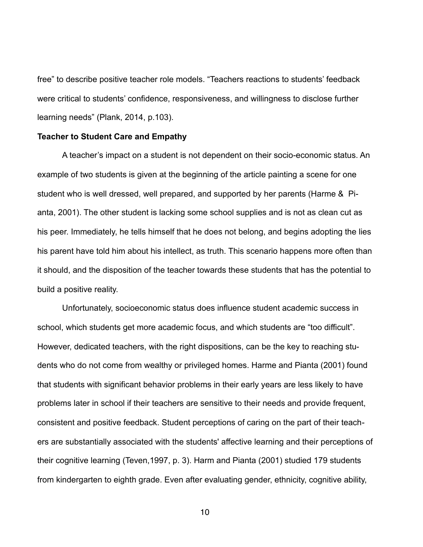free" to describe positive teacher role models. "Teachers reactions to students' feedback were critical to students' confidence, responsiveness, and willingness to disclose further learning needs" (Plank, 2014, p.103).

#### **Teacher to Student Care and Empathy**

 A teacher's impact on a student is not dependent on their socio-economic status. An example of two students is given at the beginning of the article painting a scene for one student who is well dressed, well prepared, and supported by her parents (Harme & Pianta, 2001). The other student is lacking some school supplies and is not as clean cut as his peer. Immediately, he tells himself that he does not belong, and begins adopting the lies his parent have told him about his intellect, as truth. This scenario happens more often than it should, and the disposition of the teacher towards these students that has the potential to build a positive reality.

 Unfortunately, socioeconomic status does influence student academic success in school, which students get more academic focus, and which students are "too difficult". However, dedicated teachers, with the right dispositions, can be the key to reaching students who do not come from wealthy or privileged homes. Harme and Pianta (2001) found that students with significant behavior problems in their early years are less likely to have problems later in school if their teachers are sensitive to their needs and provide frequent, consistent and positive feedback. Student perceptions of caring on the part of their teachers are substantially associated with the students' affective learning and their perceptions of their cognitive learning (Teven,1997, p. 3). Harm and Pianta (2001) studied 179 students from kindergarten to eighth grade. Even after evaluating gender, ethnicity, cognitive ability,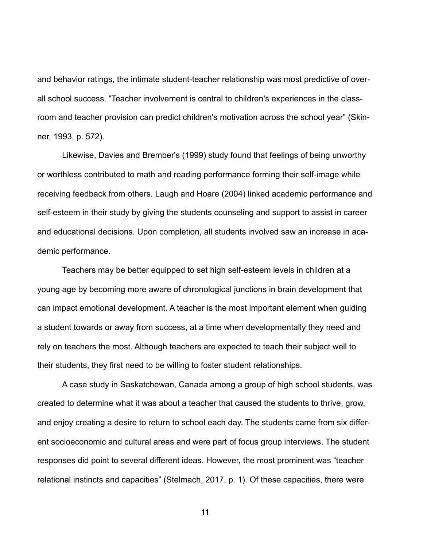and behavior ratings, the intimate student-teacher relationship was most predictive of overall school success. "Teacher involvement is central to children's experiences in the classroom and teacher provision can predict children's motivation across the school year" (Skinner, 1993, p. 572).

 Likewise, Davies and Brember's (1999) study found that feelings of being unworthy or worthless contributed to math and reading performance forming their self-image while receiving feedback from others. Laugh and Hoare (2004) linked academic performance and self-esteem in their study by giving the students counseling and support to assist in career and educational decisions. Upon completion, all students involved saw an increase in academic performance.

 Teachers may be better equipped to set high self-esteem levels in children at a young age by becoming more aware of chronological junctions in brain development that can impact emotional development. A teacher is the most important element when guiding a student towards or away from success, at a time when developmentally they need and rely on teachers the most. Although teachers are expected to teach their subject well to their students, they first need to be willing to foster student relationships.

 A case study in Saskatchewan, Canada among a group of high school students, was created to determine what it was about a teacher that caused the students to thrive, grow, and enjoy creating a desire to return to school each day. The students came from six different socioeconomic and cultural areas and were part of focus group interviews. The student responses did point to several different ideas. However, the most prominent was "teacher relational instincts and capacities" (Stelmach, 2017, p. 1). Of these capacities, there were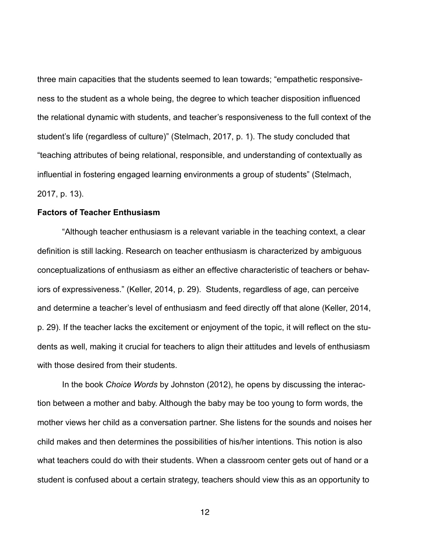three main capacities that the students seemed to lean towards; "empathetic responsiveness to the student as a whole being, the degree to which teacher disposition influenced the relational dynamic with students, and teacher's responsiveness to the full context of the student's life (regardless of culture)" (Stelmach, 2017, p. 1). The study concluded that "teaching attributes of being relational, responsible, and understanding of contextually as influential in fostering engaged learning environments a group of students" (Stelmach, 2017, p. 13).

#### **Factors of Teacher Enthusiasm**

 "Although teacher enthusiasm is a relevant variable in the teaching context, a clear definition is still lacking. Research on teacher enthusiasm is characterized by ambiguous conceptualizations of enthusiasm as either an effective characteristic of teachers or behaviors of expressiveness." (Keller, 2014, p. 29). Students, regardless of age, can perceive and determine a teacher's level of enthusiasm and feed directly off that alone (Keller, 2014, p. 29). If the teacher lacks the excitement or enjoyment of the topic, it will reflect on the students as well, making it crucial for teachers to align their attitudes and levels of enthusiasm with those desired from their students.

 In the book *Choice Words* by Johnston (2012), he opens by discussing the interaction between a mother and baby. Although the baby may be too young to form words, the mother views her child as a conversation partner. She listens for the sounds and noises her child makes and then determines the possibilities of his/her intentions. This notion is also what teachers could do with their students. When a classroom center gets out of hand or a student is confused about a certain strategy, teachers should view this as an opportunity to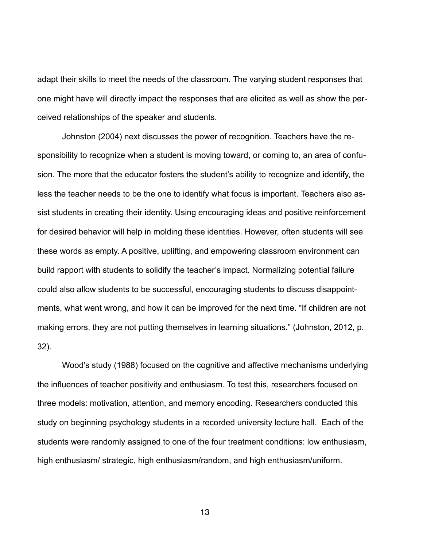adapt their skills to meet the needs of the classroom. The varying student responses that one might have will directly impact the responses that are elicited as well as show the perceived relationships of the speaker and students.

 Johnston (2004) next discusses the power of recognition. Teachers have the responsibility to recognize when a student is moving toward, or coming to, an area of confusion. The more that the educator fosters the student's ability to recognize and identify, the less the teacher needs to be the one to identify what focus is important. Teachers also assist students in creating their identity. Using encouraging ideas and positive reinforcement for desired behavior will help in molding these identities. However, often students will see these words as empty. A positive, uplifting, and empowering classroom environment can build rapport with students to solidify the teacher's impact. Normalizing potential failure could also allow students to be successful, encouraging students to discuss disappointments, what went wrong, and how it can be improved for the next time. "If children are not making errors, they are not putting themselves in learning situations." (Johnston, 2012, p. 32).

 Wood's study (1988) focused on the cognitive and affective mechanisms underlying the influences of teacher positivity and enthusiasm. To test this, researchers focused on three models: motivation, attention, and memory encoding. Researchers conducted this study on beginning psychology students in a recorded university lecture hall. Each of the students were randomly assigned to one of the four treatment conditions: low enthusiasm, high enthusiasm/ strategic, high enthusiasm/random, and high enthusiasm/uniform.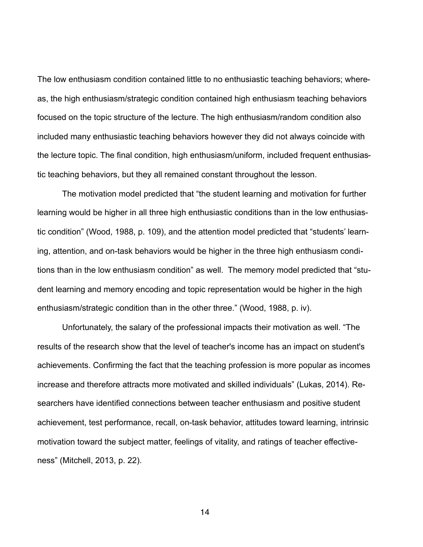The low enthusiasm condition contained little to no enthusiastic teaching behaviors; whereas, the high enthusiasm/strategic condition contained high enthusiasm teaching behaviors focused on the topic structure of the lecture. The high enthusiasm/random condition also included many enthusiastic teaching behaviors however they did not always coincide with the lecture topic. The final condition, high enthusiasm/uniform, included frequent enthusiastic teaching behaviors, but they all remained constant throughout the lesson.

The motivation model predicted that "the student learning and motivation for further learning would be higher in all three high enthusiastic conditions than in the low enthusiastic condition" (Wood, 1988, p. 109), and the attention model predicted that "students' learning, attention, and on-task behaviors would be higher in the three high enthusiasm conditions than in the low enthusiasm condition" as well. The memory model predicted that "student learning and memory encoding and topic representation would be higher in the high enthusiasm/strategic condition than in the other three." (Wood, 1988, p. iv).

 Unfortunately, the salary of the professional impacts their motivation as well. "The results of the research show that the level of teacher's income has an impact on student's achievements. Confirming the fact that the teaching profession is more popular as incomes increase and therefore attracts more motivated and skilled individuals" (Lukas, 2014). Researchers have identified connections between teacher enthusiasm and positive student achievement, test performance, recall, on-task behavior, attitudes toward learning, intrinsic motivation toward the subject matter, feelings of vitality, and ratings of teacher effectiveness" (Mitchell, 2013, p. 22).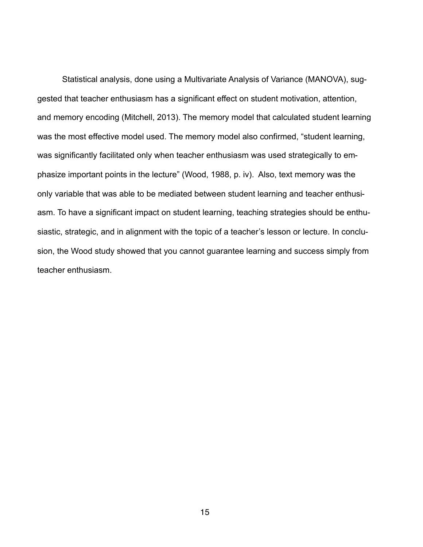Statistical analysis, done using a Multivariate Analysis of Variance (MANOVA), suggested that teacher enthusiasm has a significant effect on student motivation, attention, and memory encoding (Mitchell, 2013). The memory model that calculated student learning was the most effective model used. The memory model also confirmed, "student learning, was significantly facilitated only when teacher enthusiasm was used strategically to emphasize important points in the lecture" (Wood, 1988, p. iv). Also, text memory was the only variable that was able to be mediated between student learning and teacher enthusiasm. To have a significant impact on student learning, teaching strategies should be enthusiastic, strategic, and in alignment with the topic of a teacher's lesson or lecture. In conclusion, the Wood study showed that you cannot guarantee learning and success simply from teacher enthusiasm.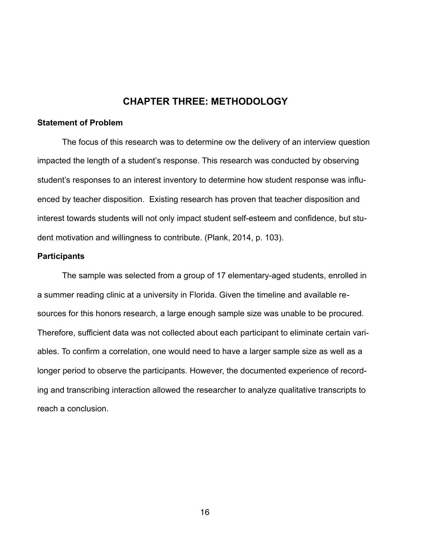#### **CHAPTER THREE: METHODOLOGY**

#### **Statement of Problem**

The focus of this research was to determine ow the delivery of an interview question impacted the length of a student's response. This research was conducted by observing student's responses to an interest inventory to determine how student response was influenced by teacher disposition. Existing research has proven that teacher disposition and interest towards students will not only impact student self-esteem and confidence, but student motivation and willingness to contribute. (Plank, 2014, p. 103).

#### **Participants**

The sample was selected from a group of 17 elementary-aged students, enrolled in a summer reading clinic at a university in Florida. Given the timeline and available resources for this honors research, a large enough sample size was unable to be procured. Therefore, sufficient data was not collected about each participant to eliminate certain variables. To confirm a correlation, one would need to have a larger sample size as well as a longer period to observe the participants. However, the documented experience of recording and transcribing interaction allowed the researcher to analyze qualitative transcripts to reach a conclusion.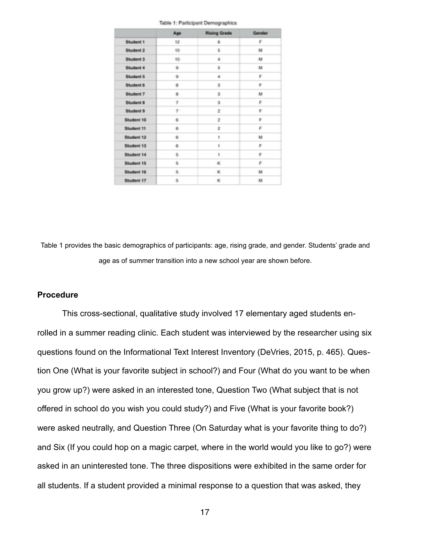|            | Age          | <b>Rising Grade</b> | Gender |
|------------|--------------|---------------------|--------|
| Student 1  | $12^{\circ}$ | 6                   | F      |
| Student 2  | 10           | 5                   | M      |
| Student 3  | 10           | 4                   | M      |
| Student 4  | 2            | 5                   | M      |
| Student 5  | 2            | 4                   | F      |
| Student 6  | 8            | э                   | F      |
| Student 7  | a.           | э                   | M      |
| Student &  | y.           | ä                   | e      |
| Student 9  | 7            | 2                   | Е      |
| Student 10 | 6            | 2                   | F      |
| Student 11 | 6            | 2                   | F      |
| Student 12 | 6            | 1                   | M      |
| Student 13 | 6            | 1                   | F      |
| Student 14 | G.           | 4                   | r      |
| Student 15 | 5.           | ĸ                   | F      |
| Student 16 | s.           | ĸ                   | M      |
| Student 17 | 5.           | ĸ                   | M      |

Table 1: Participant Demographics

Table 1 provides the basic demographics of participants: age, rising grade, and gender. Students' grade and age as of summer transition into a new school year are shown before.

#### **Procedure**

This cross-sectional, qualitative study involved 17 elementary aged students enrolled in a summer reading clinic. Each student was interviewed by the researcher using six questions found on the Informational Text Interest Inventory (DeVries, 2015, p. 465). Question One (What is your favorite subject in school?) and Four (What do you want to be when you grow up?) were asked in an interested tone, Question Two (What subject that is not offered in school do you wish you could study?) and Five (What is your favorite book?) were asked neutrally, and Question Three (On Saturday what is your favorite thing to do?) and Six (If you could hop on a magic carpet, where in the world would you like to go?) were asked in an uninterested tone. The three dispositions were exhibited in the same order for all students. If a student provided a minimal response to a question that was asked, they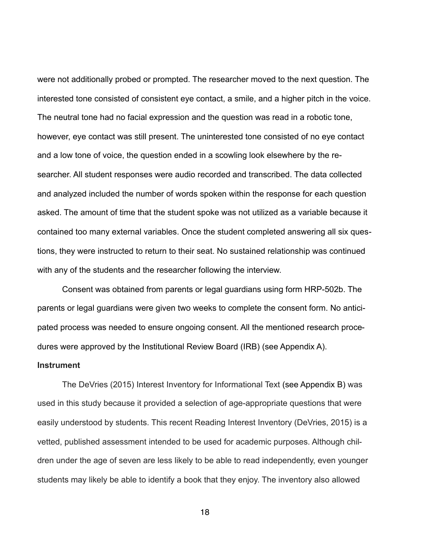were not additionally probed or prompted. The researcher moved to the next question. The interested tone consisted of consistent eye contact, a smile, and a higher pitch in the voice. The neutral tone had no facial expression and the question was read in a robotic tone, however, eye contact was still present. The uninterested tone consisted of no eye contact and a low tone of voice, the question ended in a scowling look elsewhere by the researcher. All student responses were audio recorded and transcribed. The data collected and analyzed included the number of words spoken within the response for each question asked. The amount of time that the student spoke was not utilized as a variable because it contained too many external variables. Once the student completed answering all six questions, they were instructed to return to their seat. No sustained relationship was continued with any of the students and the researcher following the interview.

 Consent was obtained from parents or legal guardians using form HRP-502b. The parents or legal guardians were given two weeks to complete the consent form. No anticipated process was needed to ensure ongoing consent. All the mentioned research procedures were approved by the Institutional Review Board (IRB) (see Appendix A).

#### **Instrument**

The DeVries (2015) Interest Inventory for Informational Text (see Appendix B) was used in this study because it provided a selection of age-appropriate questions that were easily understood by students. This recent Reading Interest Inventory (DeVries, 2015) is a vetted, published assessment intended to be used for academic purposes. Although children under the age of seven are less likely to be able to read independently, even younger students may likely be able to identify a book that they enjoy. The inventory also allowed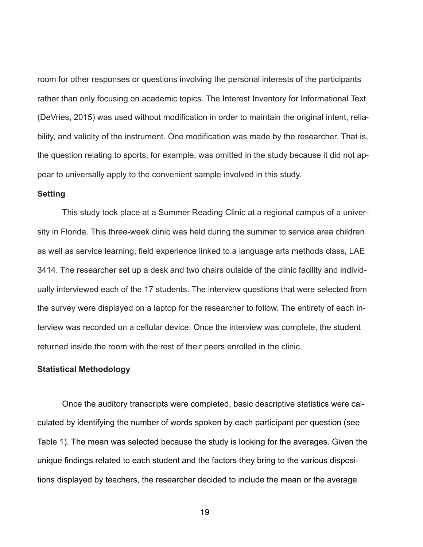room for other responses or questions involving the personal interests of the participants rather than only focusing on academic topics. The Interest Inventory for Informational Text (DeVries, 2015) was used without modification in order to maintain the original intent, reliability, and validity of the instrument. One modification was made by the researcher. That is, the question relating to sports, for example, was omitted in the study because it did not appear to universally apply to the convenient sample involved in this study.

#### **Setting**

 This study took place at a Summer Reading Clinic at a regional campus of a university in Florida. This three-week clinic was held during the summer to service area children as well as service learning, field experience linked to a language arts methods class, LAE 3414. The researcher set up a desk and two chairs outside of the clinic facility and individually interviewed each of the 17 students. The interview questions that were selected from the survey were displayed on a laptop for the researcher to follow. The entirety of each interview was recorded on a cellular device. Once the interview was complete, the student returned inside the room with the rest of their peers enrolled in the clinic.

#### **Statistical Methodology**

 Once the auditory transcripts were completed, basic descriptive statistics were calculated by identifying the number of words spoken by each participant per question (see Table 1). The mean was selected because the study is looking for the averages. Given the unique findings related to each student and the factors they bring to the various dispositions displayed by teachers, the researcher decided to include the mean or the average.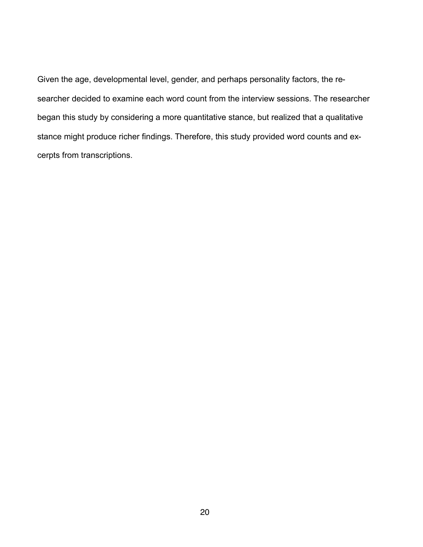Given the age, developmental level, gender, and perhaps personality factors, the researcher decided to examine each word count from the interview sessions. The researcher began this study by considering a more quantitative stance, but realized that a qualitative stance might produce richer findings. Therefore, this study provided word counts and excerpts from transcriptions.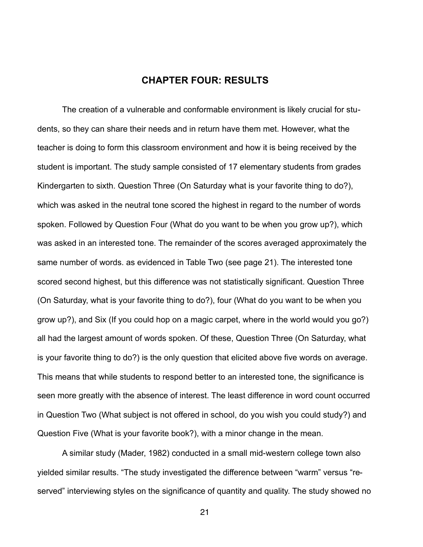#### **CHAPTER FOUR: RESULTS**

 The creation of a vulnerable and conformable environment is likely crucial for students, so they can share their needs and in return have them met. However, what the teacher is doing to form this classroom environment and how it is being received by the student is important. The study sample consisted of 17 elementary students from grades Kindergarten to sixth. Question Three (On Saturday what is your favorite thing to do?), which was asked in the neutral tone scored the highest in regard to the number of words spoken. Followed by Question Four (What do you want to be when you grow up?), which was asked in an interested tone. The remainder of the scores averaged approximately the same number of words. as evidenced in Table Two (see page 21). The interested tone scored second highest, but this difference was not statistically significant. Question Three (On Saturday, what is your favorite thing to do?), four (What do you want to be when you grow up?), and Six (If you could hop on a magic carpet, where in the world would you go?) all had the largest amount of words spoken. Of these, Question Three (On Saturday, what is your favorite thing to do?) is the only question that elicited above five words on average. This means that while students to respond better to an interested tone, the significance is seen more greatly with the absence of interest. The least difference in word count occurred in Question Two (What subject is not offered in school, do you wish you could study?) and Question Five (What is your favorite book?), with a minor change in the mean.

 A similar study (Mader, 1982) conducted in a small mid-western college town also yielded similar results. "The study investigated the difference between "warm" versus "reserved" interviewing styles on the significance of quantity and quality. The study showed no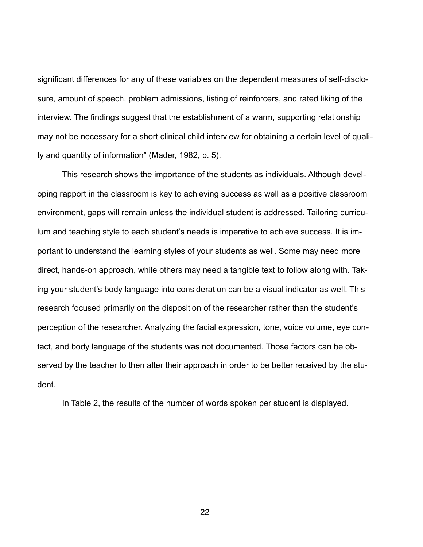significant differences for any of these variables on the dependent measures of self-disclosure, amount of speech, problem admissions, listing of reinforcers, and rated liking of the interview. The findings suggest that the establishment of a warm, supporting relationship may not be necessary for a short clinical child interview for obtaining a certain level of quality and quantity of information" (Mader, 1982, p. 5).

 This research shows the importance of the students as individuals. Although developing rapport in the classroom is key to achieving success as well as a positive classroom environment, gaps will remain unless the individual student is addressed. Tailoring curriculum and teaching style to each student's needs is imperative to achieve success. It is important to understand the learning styles of your students as well. Some may need more direct, hands-on approach, while others may need a tangible text to follow along with. Taking your student's body language into consideration can be a visual indicator as well. This research focused primarily on the disposition of the researcher rather than the student's perception of the researcher. Analyzing the facial expression, tone, voice volume, eye contact, and body language of the students was not documented. Those factors can be observed by the teacher to then alter their approach in order to be better received by the student.

In Table 2, the results of the number of words spoken per student is displayed.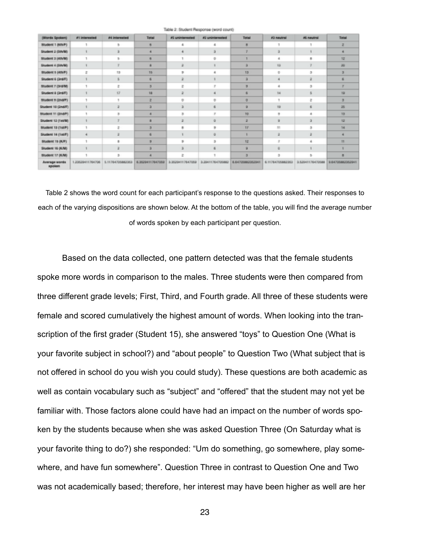| (Words Spoken)            | #1 interested    | #4 interested    | Total            | #5 uninterested  | #2 unimbersabed  | Total            | #3 meutinal      | #5 meutinal      | Total            |
|---------------------------|------------------|------------------|------------------|------------------|------------------|------------------|------------------|------------------|------------------|
| Student 1 (MNP)           |                  |                  |                  |                  |                  | в                |                  |                  |                  |
| Student 2 (Sth/M)         |                  |                  |                  |                  |                  |                  |                  |                  |                  |
| Student 3 (4th/M)         |                  |                  | e.               |                  |                  |                  |                  | 8                | 12               |
| Student 4 (Sth/M)         |                  |                  |                  |                  |                  |                  | 13               |                  | æ                |
| Student 5 (AINT)          |                  | 13               | 15               |                  |                  | 13               |                  |                  |                  |
| Student 6 (3rdF)          |                  |                  |                  |                  |                  |                  |                  |                  |                  |
| Student 7 (3rd/M)         |                  |                  | х                |                  |                  |                  |                  | ×                |                  |
| Student & (3rd/F)         |                  | 12               | 14               | ž                |                  |                  | 14               |                  | tä               |
| Student 9 (2nd/F)         |                  |                  | z                | $\circ$          | B                | o                |                  | $\overline{z}$   |                  |
| Student 10 (2ndF)         |                  |                  |                  |                  |                  | s                | tik              | 6                | 25               |
| Bludent 11 (2nd/F)        |                  |                  |                  |                  |                  | 70               |                  | ٠                | 13               |
| Student 12 (1st/M)        |                  |                  |                  |                  | e.               | a                |                  |                  | 12               |
| <b>Bludent 13 (1st/F)</b> |                  |                  |                  | ٠                |                  | W                | m                |                  | 14               |
| Student 14 (1st/F)        |                  |                  |                  |                  | ÷                |                  |                  |                  |                  |
| <b>Bludent 15 (K/F)</b>   |                  |                  | ×                | ٠                |                  | <b>NE</b>        |                  |                  | n                |
| Student 16 (K/M)          |                  |                  |                  |                  |                  |                  |                  |                  |                  |
| <b>Bludent 17 (KAI)</b>   |                  |                  |                  |                  |                  |                  |                  |                  |                  |
| Average words<br>spoken   | 1.23529411764706 | 5.11764705882353 | 6.36294117647059 | 3.35204117647050 | 3.20411764705882 | 4.64705882352941 | 6.11764705882353 | 3.52041176470588 | 9-64700882352941 |

Table 2: Student Response (word count)

Table 2 shows the word count for each participant's response to the questions asked. Their responses to each of the varying dispositions are shown below. At the bottom of the table, you will find the average number of words spoken by each participant per question.

Based on the data collected, one pattern detected was that the female students spoke more words in comparison to the males. Three students were then compared from three different grade levels; First, Third, and Fourth grade. All three of these students were female and scored cumulatively the highest amount of words. When looking into the transcription of the first grader (Student 15), she answered "toys" to Question One (What is your favorite subject in school?) and "about people" to Question Two (What subject that is not offered in school do you wish you could study). These questions are both academic as well as contain vocabulary such as "subject" and "offered" that the student may not yet be familiar with. Those factors alone could have had an impact on the number of words spoken by the students because when she was asked Question Three (On Saturday what is your favorite thing to do?) she responded: "Um do something, go somewhere, play somewhere, and have fun somewhere". Question Three in contrast to Question One and Two was not academically based; therefore, her interest may have been higher as well are her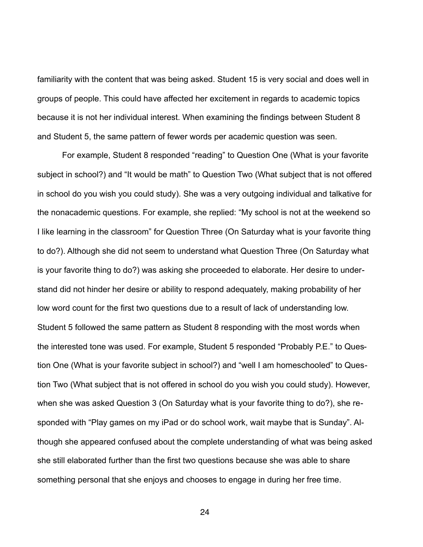familiarity with the content that was being asked. Student 15 is very social and does well in groups of people. This could have affected her excitement in regards to academic topics because it is not her individual interest. When examining the findings between Student 8 and Student 5, the same pattern of fewer words per academic question was seen.

For example, Student 8 responded "reading" to Question One (What is your favorite subject in school?) and "It would be math" to Question Two (What subject that is not offered in school do you wish you could study). She was a very outgoing individual and talkative for the nonacademic questions. For example, she replied: "My school is not at the weekend so I like learning in the classroom" for Question Three (On Saturday what is your favorite thing to do?). Although she did not seem to understand what Question Three (On Saturday what is your favorite thing to do?) was asking she proceeded to elaborate. Her desire to understand did not hinder her desire or ability to respond adequately, making probability of her low word count for the first two questions due to a result of lack of understanding low. Student 5 followed the same pattern as Student 8 responding with the most words when the interested tone was used. For example, Student 5 responded "Probably P.E." to Question One (What is your favorite subject in school?) and "well I am homeschooled" to Question Two (What subject that is not offered in school do you wish you could study). However, when she was asked Question 3 (On Saturday what is your favorite thing to do?), she responded with "Play games on my iPad or do school work, wait maybe that is Sunday". Although she appeared confused about the complete understanding of what was being asked she still elaborated further than the first two questions because she was able to share something personal that she enjoys and chooses to engage in during her free time.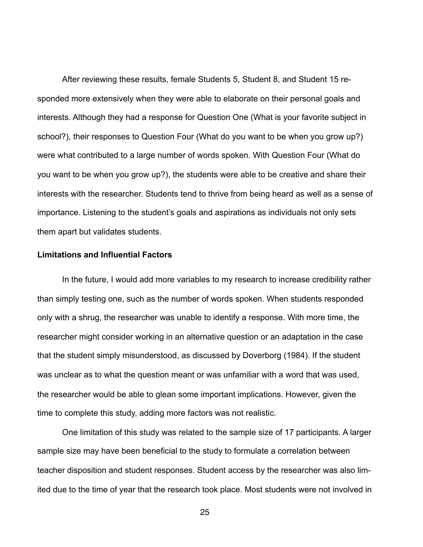After reviewing these results, female Students 5, Student 8, and Student 15 responded more extensively when they were able to elaborate on their personal goals and interests. Although they had a response for Question One (What is your favorite subject in school?), their responses to Question Four (What do you want to be when you grow up?) were what contributed to a large number of words spoken. With Question Four (What do you want to be when you grow up?), the students were able to be creative and share their interests with the researcher. Students tend to thrive from being heard as well as a sense of importance. Listening to the student's goals and aspirations as individuals not only sets them apart but validates students.

#### **Limitations and Influential Factors**

 In the future, I would add more variables to my research to increase credibility rather than simply testing one, such as the number of words spoken. When students responded only with a shrug, the researcher was unable to identify a response. With more time, the researcher might consider working in an alternative question or an adaptation in the case that the student simply misunderstood, as discussed by Doverborg (1984). If the student was unclear as to what the question meant or was unfamiliar with a word that was used, the researcher would be able to glean some important implications. However, given the time to complete this study, adding more factors was not realistic.

 One limitation of this study was related to the sample size of 17 participants. A larger sample size may have been beneficial to the study to formulate a correlation between teacher disposition and student responses. Student access by the researcher was also limited due to the time of year that the research took place. Most students were not involved in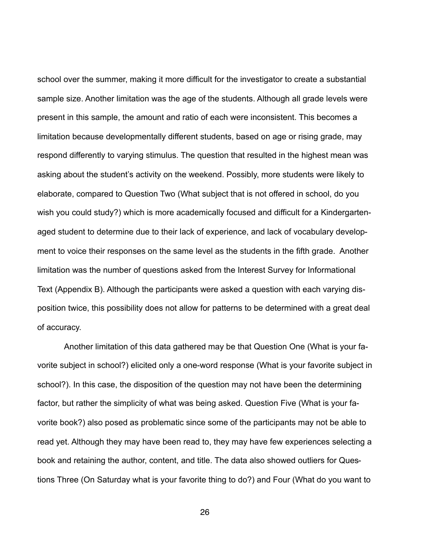school over the summer, making it more difficult for the investigator to create a substantial sample size. Another limitation was the age of the students. Although all grade levels were present in this sample, the amount and ratio of each were inconsistent. This becomes a limitation because developmentally different students, based on age or rising grade, may respond differently to varying stimulus. The question that resulted in the highest mean was asking about the student's activity on the weekend. Possibly, more students were likely to elaborate, compared to Question Two (What subject that is not offered in school, do you wish you could study?) which is more academically focused and difficult for a Kindergartenaged student to determine due to their lack of experience, and lack of vocabulary development to voice their responses on the same level as the students in the fifth grade. Another limitation was the number of questions asked from the Interest Survey for Informational Text (Appendix B). Although the participants were asked a question with each varying disposition twice, this possibility does not allow for patterns to be determined with a great deal of accuracy.

 Another limitation of this data gathered may be that Question One (What is your favorite subject in school?) elicited only a one-word response (What is your favorite subject in school?). In this case, the disposition of the question may not have been the determining factor, but rather the simplicity of what was being asked. Question Five (What is your favorite book?) also posed as problematic since some of the participants may not be able to read yet. Although they may have been read to, they may have few experiences selecting a book and retaining the author, content, and title. The data also showed outliers for Questions Three (On Saturday what is your favorite thing to do?) and Four (What do you want to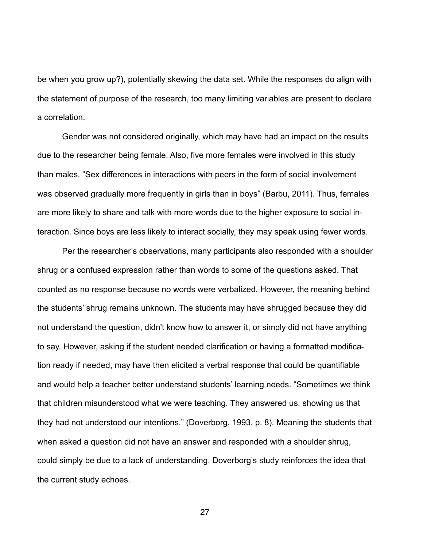be when you grow up?), potentially skewing the data set. While the responses do align with the statement of purpose of the research, too many limiting variables are present to declare a correlation.

 Gender was not considered originally, which may have had an impact on the results due to the researcher being female. Also, five more females were involved in this study than males. "Sex differences in interactions with peers in the form of social involvement was observed gradually more frequently in girls than in boys" (Barbu, 2011). Thus, females are more likely to share and talk with more words due to the higher exposure to social interaction. Since boys are less likely to interact socially, they may speak using fewer words.

 Per the researcher's observations, many participants also responded with a shoulder shrug or a confused expression rather than words to some of the questions asked. That counted as no response because no words were verbalized. However, the meaning behind the students' shrug remains unknown. The students may have shrugged because they did not understand the question, didn't know how to answer it, or simply did not have anything to say. However, asking if the student needed clarification or having a formatted modification ready if needed, may have then elicited a verbal response that could be quantifiable and would help a teacher better understand students' learning needs. "Sometimes we think that children misunderstood what we were teaching. They answered us, showing us that they had not understood our intentions." (Doverborg, 1993, p. 8). Meaning the students that when asked a question did not have an answer and responded with a shoulder shrug, could simply be due to a lack of understanding. Doverborg's study reinforces the idea that the current study echoes.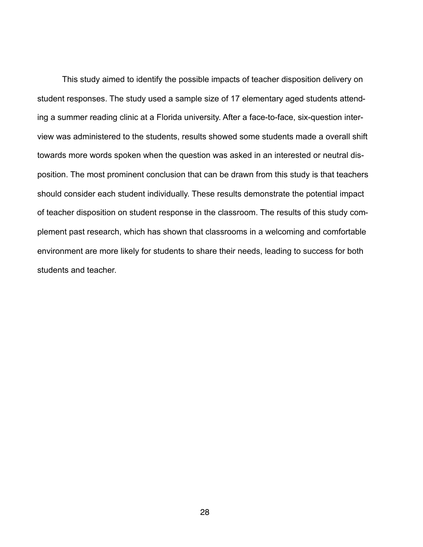This study aimed to identify the possible impacts of teacher disposition delivery on student responses. The study used a sample size of 17 elementary aged students attending a summer reading clinic at a Florida university. After a face-to-face, six-question interview was administered to the students, results showed some students made a overall shift towards more words spoken when the question was asked in an interested or neutral disposition. The most prominent conclusion that can be drawn from this study is that teachers should consider each student individually. These results demonstrate the potential impact of teacher disposition on student response in the classroom. The results of this study complement past research, which has shown that classrooms in a welcoming and comfortable environment are more likely for students to share their needs, leading to success for both students and teacher.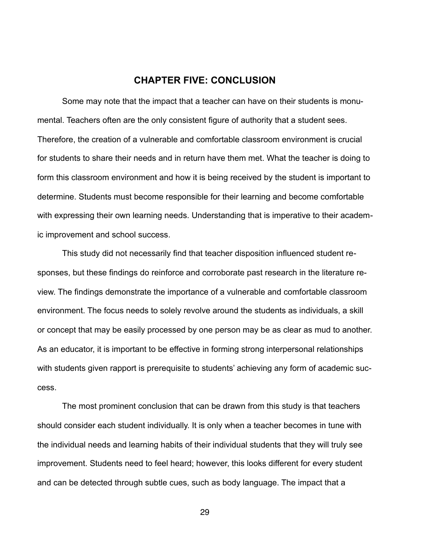#### **CHAPTER FIVE: CONCLUSION**

 Some may note that the impact that a teacher can have on their students is monumental. Teachers often are the only consistent figure of authority that a student sees. Therefore, the creation of a vulnerable and comfortable classroom environment is crucial for students to share their needs and in return have them met. What the teacher is doing to form this classroom environment and how it is being received by the student is important to determine. Students must become responsible for their learning and become comfortable with expressing their own learning needs. Understanding that is imperative to their academic improvement and school success.

This study did not necessarily find that teacher disposition influenced student responses, but these findings do reinforce and corroborate past research in the literature review. The findings demonstrate the importance of a vulnerable and comfortable classroom environment. The focus needs to solely revolve around the students as individuals, a skill or concept that may be easily processed by one person may be as clear as mud to another. As an educator, it is important to be effective in forming strong interpersonal relationships with students given rapport is prerequisite to students' achieving any form of academic success.

The most prominent conclusion that can be drawn from this study is that teachers should consider each student individually. It is only when a teacher becomes in tune with the individual needs and learning habits of their individual students that they will truly see improvement. Students need to feel heard; however, this looks different for every student and can be detected through subtle cues, such as body language. The impact that a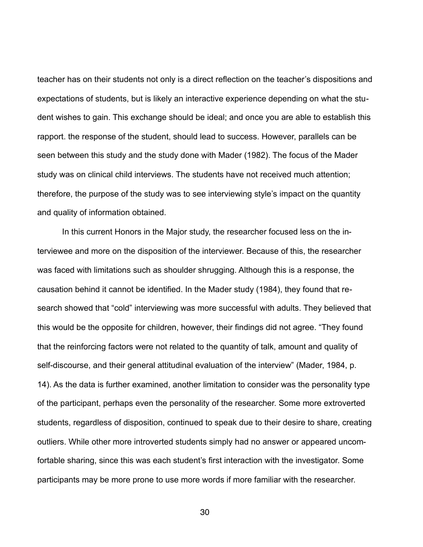teacher has on their students not only is a direct reflection on the teacher's dispositions and expectations of students, but is likely an interactive experience depending on what the student wishes to gain. This exchange should be ideal; and once you are able to establish this rapport. the response of the student, should lead to success. However, parallels can be seen between this study and the study done with Mader (1982). The focus of the Mader study was on clinical child interviews. The students have not received much attention; therefore, the purpose of the study was to see interviewing style's impact on the quantity and quality of information obtained.

In this current Honors in the Major study, the researcher focused less on the interviewee and more on the disposition of the interviewer. Because of this, the researcher was faced with limitations such as shoulder shrugging. Although this is a response, the causation behind it cannot be identified. In the Mader study (1984), they found that research showed that "cold" interviewing was more successful with adults. They believed that this would be the opposite for children, however, their findings did not agree. "They found that the reinforcing factors were not related to the quantity of talk, amount and quality of self-discourse, and their general attitudinal evaluation of the interview" (Mader, 1984, p. 14). As the data is further examined, another limitation to consider was the personality type of the participant, perhaps even the personality of the researcher. Some more extroverted students, regardless of disposition, continued to speak due to their desire to share, creating outliers. While other more introverted students simply had no answer or appeared uncomfortable sharing, since this was each student's first interaction with the investigator. Some participants may be more prone to use more words if more familiar with the researcher.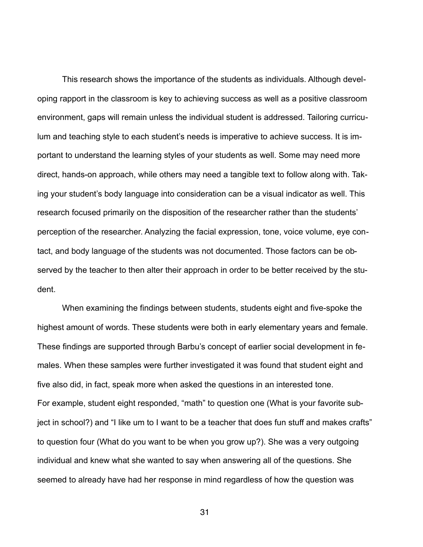This research shows the importance of the students as individuals. Although developing rapport in the classroom is key to achieving success as well as a positive classroom environment, gaps will remain unless the individual student is addressed. Tailoring curriculum and teaching style to each student's needs is imperative to achieve success. It is important to understand the learning styles of your students as well. Some may need more direct, hands-on approach, while others may need a tangible text to follow along with. Taking your student's body language into consideration can be a visual indicator as well. This research focused primarily on the disposition of the researcher rather than the students' perception of the researcher. Analyzing the facial expression, tone, voice volume, eye contact, and body language of the students was not documented. Those factors can be observed by the teacher to then alter their approach in order to be better received by the student.

When examining the findings between students, students eight and five-spoke the highest amount of words. These students were both in early elementary years and female. These findings are supported through Barbu's concept of earlier social development in females. When these samples were further investigated it was found that student eight and five also did, in fact, speak more when asked the questions in an interested tone. For example, student eight responded, "math" to question one (What is your favorite subject in school?) and "I like um to I want to be a teacher that does fun stuff and makes crafts" to question four (What do you want to be when you grow up?). She was a very outgoing individual and knew what she wanted to say when answering all of the questions. She seemed to already have had her response in mind regardless of how the question was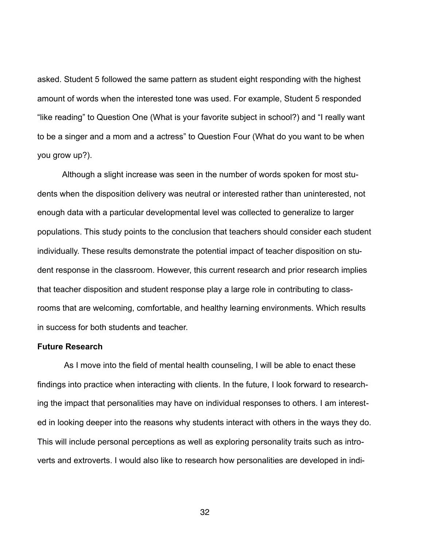asked. Student 5 followed the same pattern as student eight responding with the highest amount of words when the interested tone was used. For example, Student 5 responded "like reading" to Question One (What is your favorite subject in school?) and "I really want to be a singer and a mom and a actress" to Question Four (What do you want to be when you grow up?).

Although a slight increase was seen in the number of words spoken for most students when the disposition delivery was neutral or interested rather than uninterested, not enough data with a particular developmental level was collected to generalize to larger populations. This study points to the conclusion that teachers should consider each student individually. These results demonstrate the potential impact of teacher disposition on student response in the classroom. However, this current research and prior research implies that teacher disposition and student response play a large role in contributing to classrooms that are welcoming, comfortable, and healthy learning environments. Which results in success for both students and teacher.

#### **Future Research**

 As I move into the field of mental health counseling, I will be able to enact these findings into practice when interacting with clients. In the future, I look forward to researching the impact that personalities may have on individual responses to others. I am interested in looking deeper into the reasons why students interact with others in the ways they do. This will include personal perceptions as well as exploring personality traits such as introverts and extroverts. I would also like to research how personalities are developed in indi-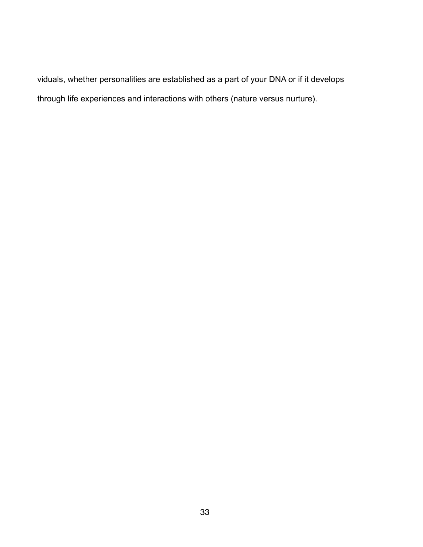viduals, whether personalities are established as a part of your DNA or if it develops through life experiences and interactions with others (nature versus nurture).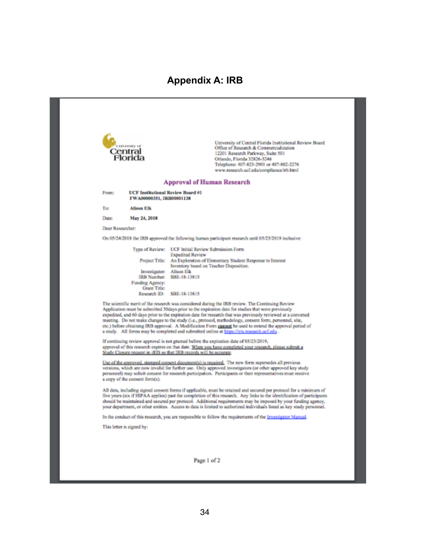#### **Appendix A: IRB**

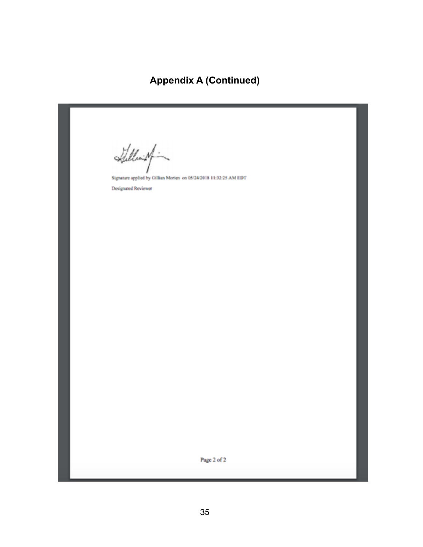## **Appendix A (Continued)**

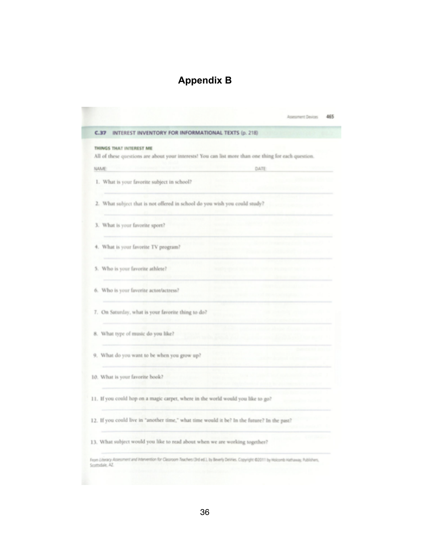## **Appendix B**

| All of these questions are about your interests! You can list more than one thing for each question.                                             |
|--------------------------------------------------------------------------------------------------------------------------------------------------|
|                                                                                                                                                  |
|                                                                                                                                                  |
| DATE:                                                                                                                                            |
|                                                                                                                                                  |
| 2. What subject that is not offered in school do you wish you could study?                                                                       |
|                                                                                                                                                  |
|                                                                                                                                                  |
|                                                                                                                                                  |
|                                                                                                                                                  |
|                                                                                                                                                  |
|                                                                                                                                                  |
|                                                                                                                                                  |
|                                                                                                                                                  |
| 11. If you could hop on a magic carpet, where in the world would you like to go?                                                                 |
| 12. If you could live in "another time," what time would it be? In the future? In the past?                                                      |
| 13. What subject would you like to read about when we are working together?                                                                      |
| From Literacy Assessment and Intervention for Classroom Teachers (3rd ed.), by Beverly DeVries. Copyright @2011 by Holcomb Hathaway, Publishers, |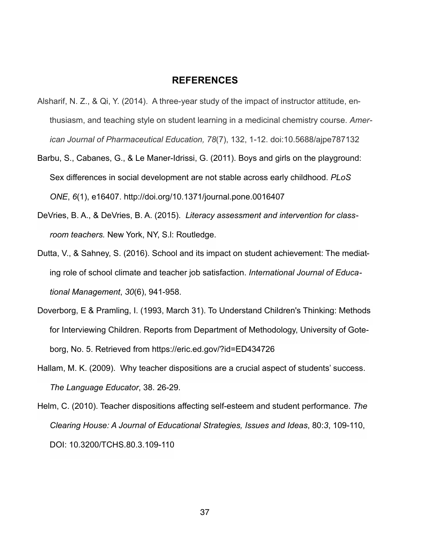#### **REFERENCES**

- Alsharif, N. Z., & Qi, Y. (2014). A three-year study of the impact of instructor attitude, enthusiasm, and teaching style on student learning in a medicinal chemistry course. *American Journal of Pharmaceutical Education, 78*(7), 132, 1-12. doi:10.5688/ajpe787132
- Barbu, S., Cabanes, G., & Le Maner-Idrissi, G. (2011). Boys and girls on the playground: Sex differences in social development are not stable across early childhood. *PLoS ONE*, *6*(1), e16407. http://doi.org/10.1371/journal.pone.0016407
- DeVries, B. A., & DeVries, B. A. (2015). *Literacy assessment and intervention for classroom teachers.* New York, NY, S.l: Routledge.
- Dutta, V., & Sahney, S. (2016). School and its impact on student achievement: The mediating role of school climate and teacher job satisfaction. *International Journal of Educational Management*, *30*(6), 941-958.
- Doverborg, E & Pramling, I. (1993, March 31). To Understand Children's Thinking: Methods for Interviewing Children. Reports from Department of Methodology, University of Goteborg, No. 5. Retrieved from https://eric.ed.gov/?id=ED434726
- Hallam, M. K. (2009). Why teacher dispositions are a crucial aspect of students' success. *The Language Educator*, 38. 26-29.
- Helm, C. (2010). Teacher dispositions affecting self-esteem and student performance. *The Clearing House: A Journal of Educational Strategies, Issues and Ideas*, 80:*3*, 109-110, DOI: [10.3200/TCHS.80.3.109-110](https://doi.org/10.3200/TCHS.80.3.109-110)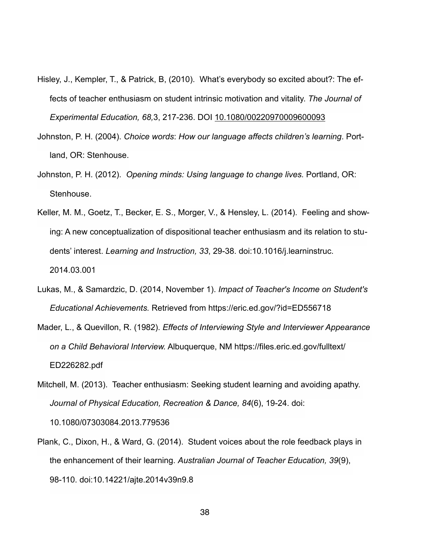- Hisley, J., Kempler, T., & Patrick, B, (2010). What's everybody so excited about?: The effects of teacher enthusiasm on student intrinsic motivation and vitality. *The Journal of Experimental Education, 68,*3, 217-236. DOI [10.1080/00220970009600093](https://doi.org/10.1080/00220970009600093)
- Johnston, P. H. (2004). *Choice words*: *How our language affects children's learning*. Portland, OR: Stenhouse.
- Johnston, P. H. (2012). *Opening minds: Using language to change lives.* Portland, OR: Stenhouse.
- Keller, M. M., Goetz, T., Becker, E. S., Morger, V., & Hensley, L. (2014). Feeling and showing: A new conceptualization of dispositional teacher enthusiasm and its relation to students' interest. *Learning and Instruction, 33*, 29-38. doi:10.1016/j.learninstruc. 2014.03.001
- Lukas, M., & Samardzic, D. (2014, November 1). *Impact of Teacher's Income on Student's Educational Achievements.* Retrieved from https://eric.ed.gov/?id=ED556718
- Mader, L., & Quevillon, R. (1982). *Effects of Interviewing Style and Interviewer Appearance on a Child Behavioral Interview.* Albuquerque, NM https://files.eric.ed.gov/fulltext/ ED226282.pdf
- Mitchell, M. (2013). Teacher enthusiasm: Seeking student learning and avoiding apathy. *Journal of Physical Education, Recreation & Dance, 84*(6), 19-24. doi: 10.1080/07303084.2013.779536
- Plank, C., Dixon, H., & Ward, G. (2014). Student voices about the role feedback plays in the enhancement of their learning. *Australian Journal of Teacher Education, 39*(9), 98-110. doi:10.14221/ajte.2014v39n9.8